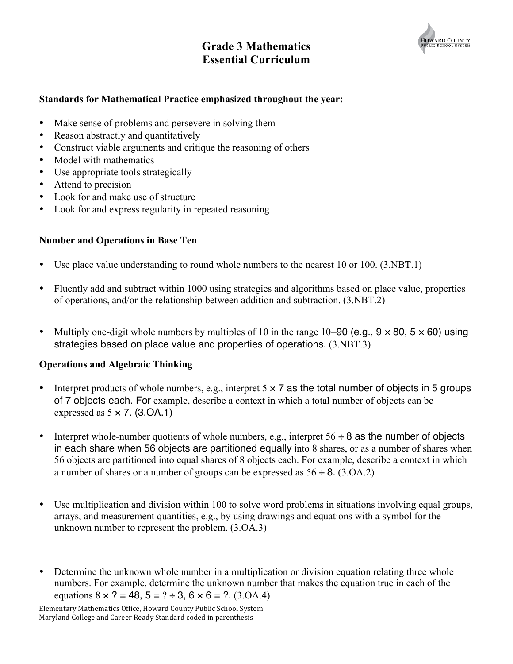# **Grade 3 Mathematics Essential Curriculum**



# **Standards for Mathematical Practice emphasized throughout the year:**

- Make sense of problems and persevere in solving them
- Reason abstractly and quantitatively
- Construct viable arguments and critique the reasoning of others
- Model with mathematics
- Use appropriate tools strategically
- Attend to precision
- Look for and make use of structure
- Look for and express regularity in repeated reasoning

## **Number and Operations in Base Ten**

- Use place value understanding to round whole numbers to the nearest 10 or 100. (3.NBT.1)
- Fluently add and subtract within 1000 using strategies and algorithms based on place value, properties of operations, and/or the relationship between addition and subtraction. (3.NBT.2)
- Multiply one-digit whole numbers by multiples of 10 in the range 10–90 (e.g.,  $9 \times 80$ ,  $5 \times 60$ ) using strategies based on place value and properties of operations. (3.NBT.3)

## **Operations and Algebraic Thinking**

- Interpret products of whole numbers, e.g., interpret  $5 \times 7$  as the total number of objects in 5 groups of 7 objects each. For example, describe a context in which a total number of objects can be expressed as  $5 \times 7$ . (3.OA.1)
- Interpret whole-number quotients of whole numbers, e.g., interpret  $56 \div 8$  as the number of objects in each share when 56 objects are partitioned equally into 8 shares, or as a number of shares when 56 objects are partitioned into equal shares of 8 objects each. For example, describe a context in which a number of shares or a number of groups can be expressed as  $56 \div 8$ . (3.0A.2)
- Use multiplication and division within 100 to solve word problems in situations involving equal groups, arrays, and measurement quantities, e.g., by using drawings and equations with a symbol for the unknown number to represent the problem. (3.OA.3)
- Determine the unknown whole number in a multiplication or division equation relating three whole numbers. For example, determine the unknown number that makes the equation true in each of the equations  $8 \times ? = 48$ ,  $5 = ? \div 3$ ,  $6 \times 6 = ?$ . (3.0A.4)

Elementary Mathematics Office, Howard County Public School System Maryland College and Career Ready Standard coded in parenthesis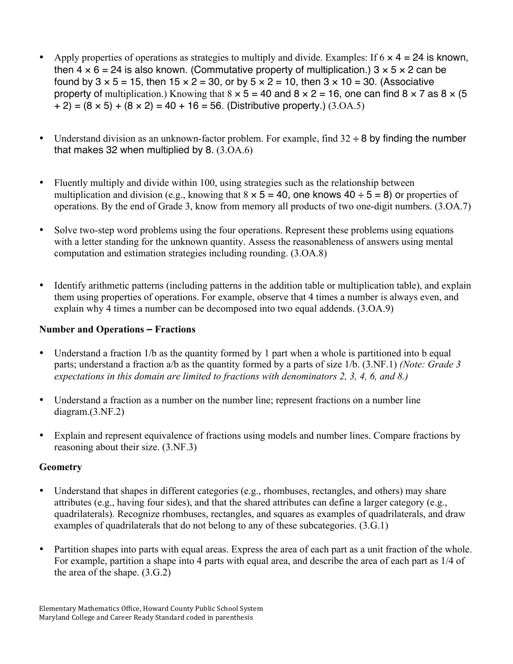- Apply properties of operations as strategies to multiply and divide. Examples: If  $6 \times 4 = 24$  is known, then  $4 \times 6 = 24$  is also known. (Commutative property of multiplication.)  $3 \times 5 \times 2$  can be found by  $3 \times 5 = 15$ , then  $15 \times 2 = 30$ , or by  $5 \times 2 = 10$ , then  $3 \times 10 = 30$ . (Associative property of multiplication.) Knowing that  $8 \times 5 = 40$  and  $8 \times 2 = 16$ , one can find  $8 \times 7$  as  $8 \times (5$  $+ 2$ ) = (8 × 5) + (8 × 2) = 40 + 16 = 56. (Distributive property.) (3.0A.5)
- Understand division as an unknown-factor problem. For example, find  $32 \div 8$  by finding the number that makes 32 when multiplied by 8. (3.OA.6)
- Fluently multiply and divide within 100, using strategies such as the relationship between multiplication and division (e.g., knowing that  $8 \times 5 = 40$ , one knows  $40 \div 5 = 8$ ) or properties of operations. By the end of Grade 3, know from memory all products of two one-digit numbers. (3.OA.7)
- Solve two-step word problems using the four operations. Represent these problems using equations with a letter standing for the unknown quantity. Assess the reasonableness of answers using mental computation and estimation strategies including rounding. (3.OA.8)
- Identify arithmetic patterns (including patterns in the addition table or multiplication table), and explain them using properties of operations. For example, observe that 4 times a number is always even, and explain why 4 times a number can be decomposed into two equal addends. (3.OA.9)

#### **Number and Operations – Fractions**

- Understand a fraction 1/b as the quantity formed by 1 part when a whole is partitioned into b equal parts; understand a fraction a/b as the quantity formed by a parts of size 1/b. (3.NF.1) *(Note: Grade 3 expectations in this domain are limited to fractions with denominators 2, 3, 4, 6, and 8.)*
- Understand a fraction as a number on the number line; represent fractions on a number line diagram.(3.NF.2)
- Explain and represent equivalence of fractions using models and number lines. Compare fractions by reasoning about their size. (3.NF.3)

#### **Geometry**

- Understand that shapes in different categories (e.g., rhombuses, rectangles, and others) may share attributes (e.g., having four sides), and that the shared attributes can define a larger category (e.g., quadrilaterals). Recognize rhombuses, rectangles, and squares as examples of quadrilaterals, and draw examples of quadrilaterals that do not belong to any of these subcategories. (3.G.1)
- Partition shapes into parts with equal areas. Express the area of each part as a unit fraction of the whole. For example, partition a shape into 4 parts with equal area, and describe the area of each part as 1/4 of the area of the shape. (3.G.2)